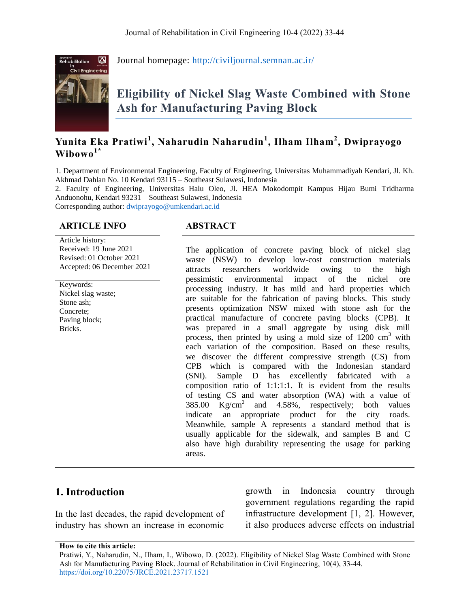

Journal homepage:<http://civiljournal.semnan.ac.ir/>

# **Eligibility of Nickel Slag Waste Combined with Stone Ash for Manufacturing Paving Block**

# **Yunita Eka Pratiwi<sup>1</sup> , Naharudin Naharudin<sup>1</sup> , Ilham Ilham<sup>2</sup> , Dwiprayogo Wibowo1\***

1. Department of Environmental Engineering, Faculty of Engineering, Universitas Muhammadiyah Kendari, Jl. Kh. Akhmad Dahlan No. 10 Kendari 93115 – Southeast Sulawesi, Indonesia

2. Faculty of Engineering, Universitas Halu Oleo, Jl. HEA Mokodompit Kampus Hijau Bumi Tridharma Anduonohu, Kendari 93231 – Southeast Sulawesi, Indonesia

Corresponding author: <dwiprayogo@umkendari.ac.id>

#### **ARTICLE INFO ABSTRACT**

Article history: Received: 19 June 2021 Revised: 01 October 2021 Accepted: 06 December 2021

Keywords: Nickel slag waste; Stone ash; Concrete; Paving block; Bricks.

The application of concrete paving block of nickel slag waste (NSW) to develop low-cost construction materials attracts researchers worldwide owing to the high pessimistic environmental impact of the nickel ore processing industry. It has mild and hard properties which are suitable for the fabrication of paving blocks. This study presents optimization NSW mixed with stone ash for the practical manufacture of concrete paving blocks (CPB). It was prepared in a small aggregate by using disk mill process, then printed by using a mold size of  $1200 \text{ cm}^3$  with each variation of the composition. Based on these results, we discover the different compressive strength (CS) from CPB which is compared with the Indonesian standard (SNI). Sample D has excellently fabricated with a composition ratio of 1:1:1:1. It is evident from the results of testing CS and water absorption (WA) with a value of 385.00  $Kg/cm^2$ and 4.58%, respectively; both values indicate an appropriate product for the city roads. Meanwhile, sample A represents a standard method that is usually applicable for the sidewalk, and samples B and C also have high durability representing the usage for parking areas.

# **1. Introduction**

In the last decades, the rapid development of industry has shown an increase in economic growth in Indonesia country through government regulations regarding the rapid infrastructure development [1, 2]. However, it also produces adverse effects on industrial

**How to cite this article:**

Pratiwi, Y., Naharudin, N., Ilham, I., Wibowo, D. (2022). Eligibility of Nickel Slag Waste Combined with Stone Ash for Manufacturing Paving Block. Journal of Rehabilitation in Civil Engineering, 10(4), 33-44. <https://doi.org/10.22075/JRCE.2021.23717.1521>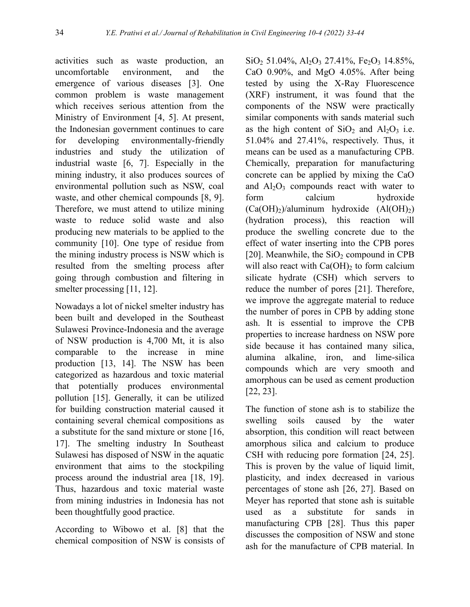activities such as waste production, an uncomfortable environment, and the emergence of various diseases [3]. One common problem is waste management which receives serious attention from the Ministry of Environment [4, 5]. At present, the Indonesian government continues to care for developing environmentally-friendly industries and study the utilization of industrial waste [6, 7]. Especially in the mining industry, it also produces sources of environmental pollution such as NSW, coal waste, and other chemical compounds [8, 9]. Therefore, we must attend to utilize mining waste to reduce solid waste and also producing new materials to be applied to the community [10]. One type of residue from the mining industry process is NSW which is resulted from the smelting process after going through combustion and filtering in smelter processing [11, 12].

Nowadays a lot of nickel smelter industry has been built and developed in the Southeast Sulawesi Province-Indonesia and the average of NSW production is 4,700 Mt, it is also comparable to the increase in mine production [13, 14]. The NSW has been categorized as hazardous and toxic material that potentially produces environmental pollution [15]. Generally, it can be utilized for building construction material caused it containing several chemical compositions as a substitute for the sand mixture or stone [16, 17]. The smelting industry In Southeast Sulawesi has disposed of NSW in the aquatic environment that aims to the stockpiling process around the industrial area [18, 19]. Thus, hazardous and toxic material waste from mining industries in Indonesia has not been thoughtfully good practice.

According to Wibowo et al. [8] that the chemical composition of NSW is consists of

 $SiO<sub>2</sub> 51.04\%, Al<sub>2</sub>O<sub>3</sub> 27.41\%, Fe<sub>2</sub>O<sub>3</sub> 14.85\%,$ CaO 0.90%, and MgO 4.05%. After being tested by using the X-Ray Fluorescence (XRF) instrument, it was found that the components of the NSW were practically similar components with sands material such as the high content of  $SiO<sub>2</sub>$  and  $Al<sub>2</sub>O<sub>3</sub>$  i.e. 51.04% and 27.41%, respectively. Thus, it means can be used as a manufacturing CPB. Chemically, preparation for manufacturing concrete can be applied by mixing the CaO and  $Al_2O_3$  compounds react with water to form calcium hydroxide  $(Ca(OH)<sub>2</sub>)$ /aluminum hydroxide  $(AI(OH)<sub>2</sub>)$ (hydration process), this reaction will produce the swelling concrete due to the effect of water inserting into the CPB pores [20]. Meanwhile, the  $SiO<sub>2</sub>$  compound in CPB will also react with  $Ca(OH)_2$  to form calcium silicate hydrate (CSH) which servers to reduce the number of pores [21]. Therefore, we improve the aggregate material to reduce the number of pores in CPB by adding stone ash. It is essential to improve the CPB properties to increase hardness on NSW pore side because it has contained many silica, alumina alkaline, iron, and lime-silica compounds which are very smooth and amorphous can be used as cement production [22, 23].

The function of stone ash is to stabilize the swelling soils caused by the water absorption, this condition will react between amorphous silica and calcium to produce CSH with reducing pore formation [24, 25]. This is proven by the value of liquid limit, plasticity, and index decreased in various percentages of stone ash [26, 27]. Based on Meyer has reported that stone ash is suitable used as a substitute for sands in manufacturing CPB [28]. Thus this paper discusses the composition of NSW and stone ash for the manufacture of CPB material. In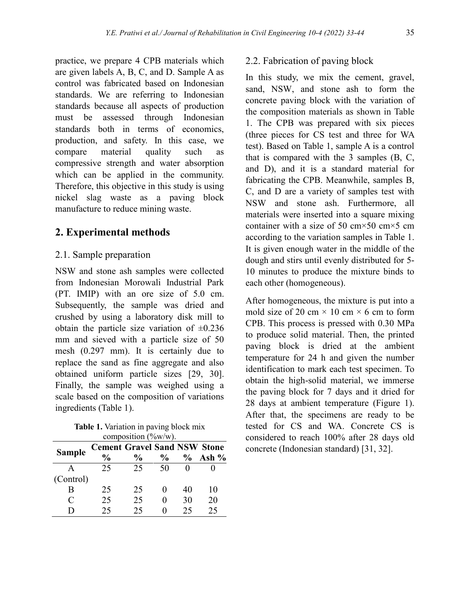practice, we prepare 4 CPB materials which are given labels A, B, C, and D. Sample A as control was fabricated based on Indonesian standards. We are referring to Indonesian standards because all aspects of production must be assessed through Indonesian standards both in terms of economics, production, and safety. In this case, we compare material quality such as compressive strength and water absorption which can be applied in the community. Therefore, this objective in this study is using nickel slag waste as a paving block manufacture to reduce mining waste.

# **2. Experimental methods**

# 2.1. Sample preparation

NSW and stone ash samples were collected from Indonesian Morowali Industrial Park (PT. IMIP) with an ore size of 5.0 cm. Subsequently, the sample was dried and crushed by using a laboratory disk mill to obtain the particle size variation of  $\pm 0.236$ mm and sieved with a particle size of 50 mesh (0.297 mm). It is certainly due to replace the sand as fine aggregate and also obtained uniform particle sizes [29, 30]. Finally, the sample was weighed using a scale based on the composition of variations ingredients (Table 1).

**Table 1.** Variation in paving block mix composition (%w/w).

| COMPOSITION $(70W/W)$ . |                                     |               |               |               |         |  |
|-------------------------|-------------------------------------|---------------|---------------|---------------|---------|--|
| <b>Sample</b>           | <b>Cement Gravel Sand NSW Stone</b> |               |               |               |         |  |
|                         | $\frac{0}{0}$                       | $\frac{0}{0}$ | $\frac{0}{0}$ | $\frac{6}{9}$ | Ash $%$ |  |
|                         | 25                                  | 25            | 50            |               |         |  |
| (Control)               |                                     |               |               |               |         |  |
| В                       | 25                                  | 25            |               | 40            | 10      |  |
| C                       | 25                                  | 25            |               | 30            | 20      |  |
| ו ו                     | 25                                  | 25            |               | 25            | 25      |  |

### 2.2. Fabrication of paving block

In this study, we mix the cement, gravel, sand, NSW, and stone ash to form the concrete paving block with the variation of the composition materials as shown in Table 1. The CPB was prepared with six pieces (three pieces for CS test and three for WA test). Based on Table 1, sample A is a control that is compared with the 3 samples (B, C, and D), and it is a standard material for fabricating the CPB. Meanwhile, samples B, C, and D are a variety of samples test with NSW and stone ash. Furthermore, all materials were inserted into a square mixing container with a size of 50 cm $\times$ 50 cm $\times$ 5 cm according to the variation samples in Table 1. It is given enough water in the middle of the dough and stirs until evenly distributed for 5- 10 minutes to produce the mixture binds to each other (homogeneous).

After homogeneous, the mixture is put into a mold size of 20 cm  $\times$  10 cm  $\times$  6 cm to form CPB. This process is pressed with 0.30 MPa to produce solid material. Then, the printed paving block is dried at the ambient temperature for 24 h and given the number identification to mark each test specimen. To obtain the high-solid material, we immerse the paving block for 7 days and it dried for 28 days at ambient temperature (Figure 1). After that, the specimens are ready to be tested for CS and WA. Concrete CS is considered to reach 100% after 28 days old concrete (Indonesian standard) [31, 32].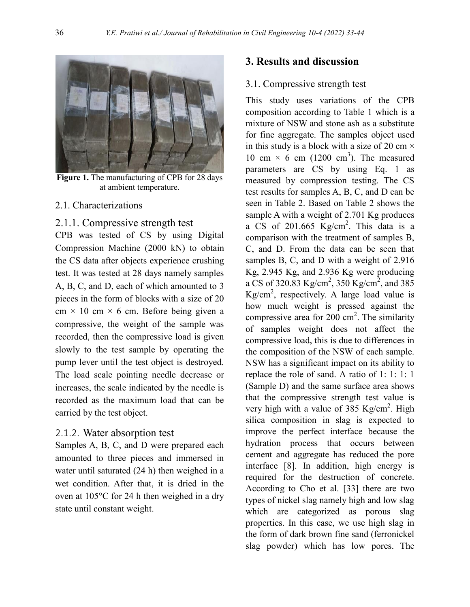

**Figure 1.** The manufacturing of CPB for 28 days at ambient temperature.

#### 2.1. Characterizations

2.1.1. Compressive strength test

CPB was tested of CS by using Digital Compression Machine (2000 kN) to obtain the CS data after objects experience crushing test. It was tested at 28 days namely samples A, B, C, and D, each of which amounted to 3 pieces in the form of blocks with a size of 20 cm  $\times$  10 cm  $\times$  6 cm. Before being given a compressive, the weight of the sample was recorded, then the compressive load is given slowly to the test sample by operating the pump lever until the test object is destroyed. The load scale pointing needle decrease or increases, the scale indicated by the needle is recorded as the maximum load that can be carried by the test object.

#### 2.1.2. Water absorption test

Samples A, B, C, and D were prepared each amounted to three pieces and immersed in water until saturated (24 h) then weighed in a wet condition. After that, it is dried in the oven at 105°C for 24 h then weighed in a dry state until constant weight.

#### **3. Results and discussion**

#### 3.1. Compressive strength test

This study uses variations of the CPB composition according to Table 1 which is a mixture of NSW and stone ash as a substitute for fine aggregate. The samples object used in this study is a block with a size of 20 cm  $\times$ 10 cm  $\times$  6 cm (1200 cm<sup>3</sup>). The measured parameters are CS by using Eq. 1 as measured by compression testing. The CS test results for samples A, B, C, and D can be seen in Table 2. Based on Table 2 shows the sample A with a weight of 2.701 Kg produces a CS of  $201.665$  Kg/cm<sup>2</sup>. This data is a comparison with the treatment of samples B, C, and D. From the data can be seen that samples B, C, and D with a weight of 2.916 Kg, 2.945 Kg, and 2.936 Kg were producing a CS of 320.83  $\text{Kg/cm}^2$ , 350  $\text{Kg/cm}^2$ , and 385 Kg/cm<sup>2</sup>, respectively. A large load value is how much weight is pressed against the compressive area for 200  $\text{cm}^2$ . The similarity of samples weight does not affect the compressive load, this is due to differences in the composition of the NSW of each sample. NSW has a significant impact on its ability to replace the role of sand. A ratio of 1: 1: 1: 1 (Sample D) and the same surface area shows that the compressive strength test value is very high with a value of 385  $Kg/cm<sup>2</sup>$ . High silica composition in slag is expected to improve the perfect interface because the hydration process that occurs between cement and aggregate has reduced the pore interface [8]. In addition, high energy is required for the destruction of concrete. According to Cho et al. [33] there are two types of nickel slag namely high and low slag which are categorized as porous slag properties. In this case, we use high slag in the form of dark brown fine sand (ferronickel slag powder) which has low pores. The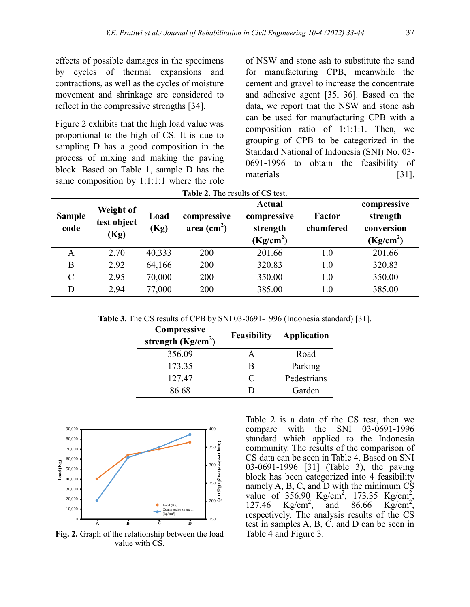effects of possible damages in the specimens by cycles of thermal expansions and contractions, as well as the cycles of moisture movement and shrinkage are considered to reflect in the compressive strengths [34].

Figure 2 exhibits that the high load value was proportional to the high of CS. It is due to sampling D has a good composition in the process of mixing and making the paving block. Based on Table 1, sample D has the same composition by 1:1:1:1 where the role of NSW and stone ash to substitute the sand for manufacturing CPB, meanwhile the cement and gravel to increase the concentrate and adhesive agent [35, 36]. Based on the data, we report that the NSW and stone ash can be used for manufacturing CPB with a composition ratio of 1:1:1:1. Then, we grouping of CPB to be categorized in the Standard National of Indonesia (SNI) No. 03- 0691-1996 to obtain the feasibility of materials [31].

| Table 2. The results of CS test. |                                         |              |                                            |                                                                   |                     |                                                                |  |
|----------------------------------|-----------------------------------------|--------------|--------------------------------------------|-------------------------------------------------------------------|---------------------|----------------------------------------------------------------|--|
| <b>Sample</b><br>code            | <b>Weight of</b><br>test object<br>(Kg) | Load<br>(Kg) | compressive<br>area $\text{(cm}^2\text{)}$ | <b>Actual</b><br>compressive<br>strength<br>(Kg/cm <sup>2</sup> ) | Factor<br>chamfered | compressive<br>strength<br>conversion<br>(Kg/cm <sup>2</sup> ) |  |
| A                                | 2.70                                    | 40,333       | 200                                        | 201.66                                                            | 1.0                 | 201.66                                                         |  |
| B                                | 2.92                                    | 64,166       | 200                                        | 320.83                                                            | 1.0                 | 320.83                                                         |  |
| C                                | 2.95                                    | 70,000       | 200                                        | 350.00                                                            | 1.0                 | 350.00                                                         |  |
| D                                | 2.94                                    | 77,000       | 200                                        | 385.00                                                            | 1.0                 | 385.00                                                         |  |

**Table 3.** The CS results of CPB by SNI 03-0691-1996 (Indonesia standard) [31].

| Compressive<br>strength $(Kg/cm2)$ | <b>Feasibility</b>          | Application |
|------------------------------------|-----------------------------|-------------|
| 356.09                             |                             | Road        |
| 173.35                             | R                           | Parking     |
| 127.47                             | $\mathcal{C}_{\mathcal{C}}$ | Pedestrians |
| 86.68                              |                             | Garden      |



**Fig. 2.** Graph of the relationship between the load value with CS.

Table 2 is a data of the CS test, then we compare with the SNI 03-0691-1996 standard which applied to the Indonesia community. The results of the comparison of CS data can be seen in Table 4. Based on SNI 03-0691-1996 [31] (Table 3), the paving block has been categorized into 4 feasibility namely A, B, C, and D with the minimum CS value of  $356.90 \text{ Kg/cm}^2$ ,  $173.35 \text{ Kg/cm}^2$ , 127.46  $Kg/cm^2$ , , and  $86.66$  Kg/cm<sup>2</sup>, respectively. The analysis results of the CS test in samples A, B, C, and D can be seen in Table 4 and Figure 3.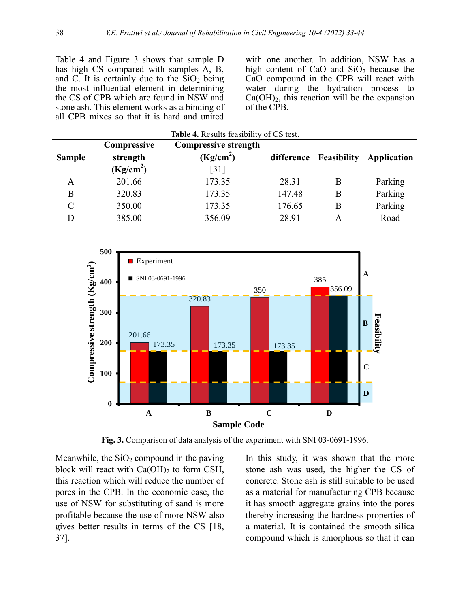Table 4 and Figure 3 shows that sample D has high CS compared with samples A, B, and C. It is certainly due to the  $\overline{SiO_2}$  being the most influential element in determining the CS of CPB which are found in NSW and stone ash. This element works as a binding of all CPB mixes so that it is hard and united

with one another. In addition, NSW has a high content of CaO and  $SiO<sub>2</sub>$  because the CaO compound in the CPB will react with water during the hydration process to  $Ca(OH)_2$ , this reaction will be the expansion of the CPB.

| <b>Sample</b> | Compressive<br>strength<br>(Kg/cm <sup>2</sup> ) | <b>Compressive strength</b><br>(Kg/cm <sup>2</sup> )<br>$\lceil 31 \rceil$ | difference | <b>Feasibility</b> | <b>Application</b> |
|---------------|--------------------------------------------------|----------------------------------------------------------------------------|------------|--------------------|--------------------|
| A             | 201.66                                           | 173.35                                                                     | 28.31      | Β                  | Parking            |
| B             | 320.83                                           | 173.35                                                                     | 147.48     | В                  | Parking            |
| C             | 350.00                                           | 173.35                                                                     | 176.65     | В                  | Parking            |
| D             | 385.00                                           | 356.09                                                                     | 28.91      | A                  | Road               |

**Table 4.** Results feasibility of CS test.



**Fig. 3.** Comparison of data analysis of the experiment with SNI 03-0691-1996.

Meanwhile, the  $SiO<sub>2</sub>$  compound in the paving block will react with  $Ca(OH)_2$  to form CSH, this reaction which will reduce the number of pores in the CPB. In the economic case, the use of NSW for substituting of sand is more profitable because the use of more NSW also gives better results in terms of the CS [18, 37].

In this study, it was shown that the more stone ash was used, the higher the CS of concrete. Stone ash is still suitable to be used as a material for manufacturing CPB because it has smooth aggregate grains into the pores thereby increasing the hardness properties of a material. It is contained the smooth silica compound which is amorphous so that it can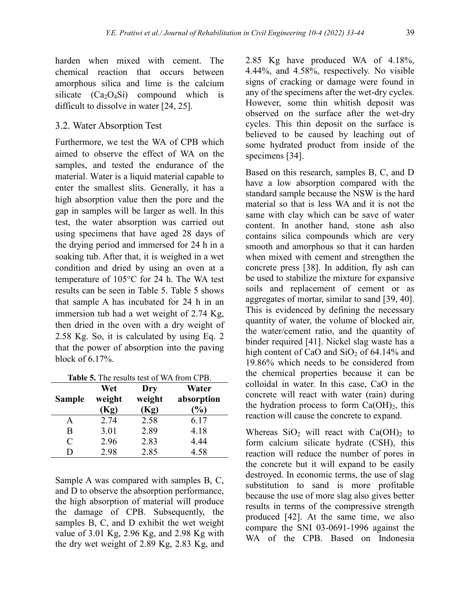harden when mixed with cement. The chemical reaction that occurs between amorphous silica and lime is the calcium silicate  $(Ca<sub>2</sub>O<sub>4</sub>Si)$  compound which is difficult to dissolve in water [24, 25].

### 3.2. Water Absorption Test

Furthermore, we test the WA of CPB which aimed to observe the effect of WA on the samples, and tested the endurance of the material. Water is a liquid material capable to enter the smallest slits. Generally, it has a high absorption value then the pore and the gap in samples will be larger as well. In this test, the water absorption was carried out using specimens that have aged 28 days of the drying period and immersed for 24 h in a soaking tub. After that, it is weighed in a wet condition and dried by using an oven at a temperature of 105°C for 24 h. The WA test results can be seen in Table 5. Table 5 shows that sample A has incubated for 24 h in an immersion tub had a wet weight of 2.74 Kg, then dried in the oven with a dry weight of 2.58 Kg. So, it is calculated by using Eq. 2 that the power of absorption into the paving block of 6.17%.

| Table 5. The results test of WA from CPB. |  |  |  |  |  |
|-------------------------------------------|--|--|--|--|--|
|-------------------------------------------|--|--|--|--|--|

| <b>Sample</b> | Wet<br>weight<br>Kg) | Dry<br>weight<br>Kg) | Water<br>absorption<br>$\frac{1}{2}$ |
|---------------|----------------------|----------------------|--------------------------------------|
| A             | 2.74                 | 2.58                 | 6.17                                 |
| B             | 3.01                 | 2.89                 | 4.18                                 |
| C             | 2.96                 | 2.83                 | 4.44                                 |
| ו ו           | 2.98                 | 2.85                 | 4.58                                 |

Sample A was compared with samples B, C, and D to observe the absorption performance, the high absorption of material will produce the damage of CPB. Subsequently, the samples B, C, and D exhibit the wet weight value of 3.01 Kg, 2.96 Kg, and 2.98 Kg with the dry wet weight of 2.89 Kg, 2.83 Kg, and

2.85 Kg have produced WA of 4.18%, 4.44%, and 4.58%, respectively. No visible signs of cracking or damage were found in any of the specimens after the wet-dry cycles. However, some thin whitish deposit was observed on the surface after the wet-dry cycles. This thin deposit on the surface is believed to be caused by leaching out of some hydrated product from inside of the specimens [34].

Based on this research, samples B, C, and D have a low absorption compared with the standard sample because the NSW is the hard material so that is less WA and it is not the same with clay which can be save of water content. In another hand, stone ash also contains silica compounds which are very smooth and amorphous so that it can harden when mixed with cement and strengthen the concrete press [38]. In addition, fly ash can be used to stabilize the mixture for expansive soils and replacement of cement or as aggregates of mortar, similar to sand [39, 40]. This is evidenced by defining the necessary quantity of water, the volume of blocked air, the water/cement ratio, and the quantity of binder required [41]. Nickel slag waste has a high content of CaO and  $SiO<sub>2</sub>$  of 64.14% and 19.86% which needs to be considered from the chemical properties because it can be colloidal in water. In this case, CaO in the concrete will react with water (rain) during the hydration process to form  $Ca(OH)_2$ , this reaction will cause the concrete to expand.

Whereas  $SiO<sub>2</sub>$  will react with Ca(OH)<sub>2</sub> to form calcium silicate hydrate (CSH), this reaction will reduce the number of pores in the concrete but it will expand to be easily destroyed. In economic terms, the use of slag substitution to sand is more profitable because the use of more slag also gives better results in terms of the compressive strength produced [42]. At the same time, we also compare the SNI 03-0691-1996 against the WA of the CPB. Based on Indonesia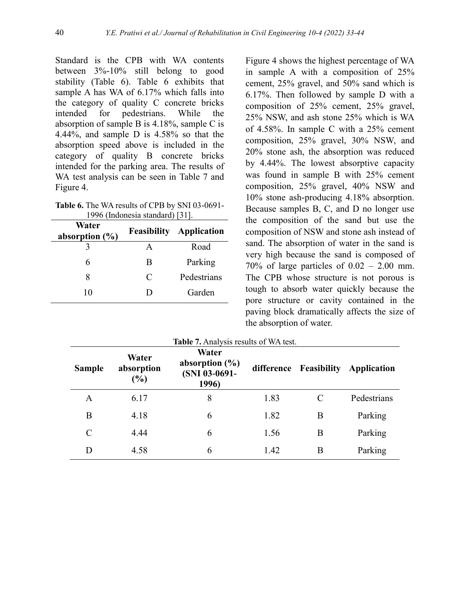Standard is the CPB with WA contents between 3%-10% still belong to good stability (Table 6). Table 6 exhibits that sample A has WA of 6.17% which falls into the category of quality C concrete bricks intended for pedestrians. While the absorption of sample B is 4.18%, sample C is 4.44%, and sample D is 4.58% so that the absorption speed above is included in the category of quality B concrete bricks intended for the parking area. The results of WA test analysis can be seen in Table 7 and Figure 4.

| Table 6. The WA results of CPB by SNI 03-0691- |
|------------------------------------------------|
| 1996 (Indonesia standard) [31].                |

| Water<br>absorption $(\% )$ |   | <b>Feasibility Application</b> |
|-----------------------------|---|--------------------------------|
|                             |   | Road                           |
|                             | B | Parking                        |
| x                           | C | Pedestrians                    |
| 10                          | Ð | Garden                         |

Figure 4 shows the highest percentage of WA in sample A with a composition of 25% cement, 25% gravel, and 50% sand which is 6.17%. Then followed by sample D with a composition of 25% cement, 25% gravel, 25% NSW, and ash stone 25% which is WA of 4.58%. In sample C with a 25% cement composition, 25% gravel, 30% NSW, and 20% stone ash, the absorption was reduced by 4.44%. The lowest absorptive capacity was found in sample B with 25% cement composition, 25% gravel, 40% NSW and 10% stone ash-producing 4.18% absorption. Because samples B, C, and D no longer use the composition of the sand but use the composition of NSW and stone ash instead of sand. The absorption of water in the sand is very high because the sand is composed of  $70\%$  of large particles of  $0.02 - 2.00$  mm. The CPB whose structure is not porous is tough to absorb water quickly because the pore structure or cavity contained in the paving block dramatically affects the size of the absorption of water.

| <b>Sample</b> | Water<br>absorption<br>$(\%)$ | Water<br>absorption $(\% )$<br>(SNI 03-0691-<br>1996) |      | difference Feasibility | Application |
|---------------|-------------------------------|-------------------------------------------------------|------|------------------------|-------------|
| A             | 6.17                          | 8                                                     | 1.83 |                        | Pedestrians |
| B             | 4.18                          | 6                                                     | 1.82 | B                      | Parking     |
| $\mathcal{C}$ | 4.44                          | 6                                                     | 1.56 | B                      | Parking     |
| D             | 4.58                          | 6                                                     | 1.42 | B                      | Parking     |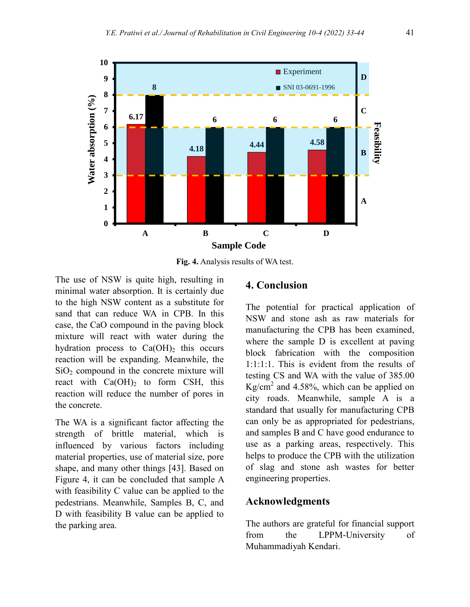

**Fig. 4.** Analysis results of WA test.

The use of NSW is quite high, resulting in minimal water absorption. It is certainly due to the high NSW content as a substitute for sand that can reduce WA in CPB. In this case, the CaO compound in the paving block mixture will react with water during the hydration process to  $Ca(OH)_2$  this occurs reaction will be expanding. Meanwhile, the  $SiO<sub>2</sub>$  compound in the concrete mixture will react with  $Ca(OH)_2$  to form CSH, this reaction will reduce the number of pores in the concrete.

The WA is a significant factor affecting the strength of brittle material, which is influenced by various factors including material properties, use of material size, pore shape, and many other things [43]. Based on Figure 4, it can be concluded that sample A with feasibility C value can be applied to the pedestrians. Meanwhile, Samples B, C, and D with feasibility B value can be applied to the parking area.

# **4. Conclusion**

The potential for practical application of NSW and stone ash as raw materials for manufacturing the CPB has been examined, where the sample D is excellent at paving block fabrication with the composition 1:1:1:1. This is evident from the results of testing CS and WA with the value of 385.00 Kg/cm<sup>2</sup> and 4.58%, which can be applied on city roads. Meanwhile, sample A is a standard that usually for manufacturing CPB can only be as appropriated for pedestrians, and samples B and C have good endurance to use as a parking areas, respectively. This helps to produce the CPB with the utilization of slag and stone ash wastes for better engineering properties.

# **Acknowledgments**

The authors are grateful for financial support from the LPPM-University of Muhammadiyah Kendari.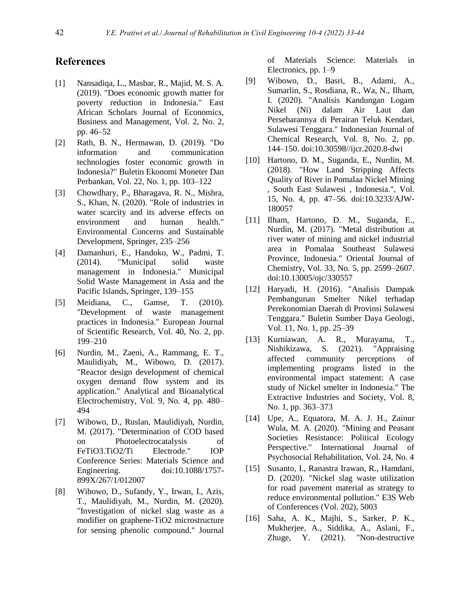## **References**

- [1] Nansadiqa, L., Masbar, R., Majid, M. S. A. (2019). "Does economic growth matter for poverty reduction in Indonesia." East African Scholars Journal of Economics, Business and Management, Vol. 2, No. 2, pp. 46–52
- [2] Rath, B. N., Hermawan, D. (2019). "Do information and communication technologies foster economic growth in Indonesia?" Buletin Ekonomi Moneter Dan Perbankan, Vol. 22, No. 1, pp. 103–122
- [3] Chowdhary, P., Bharagava, R. N., Mishra, S., Khan, N. (2020). "Role of industries in water scarcity and its adverse effects on environment and human health." Environmental Concerns and Sustainable Development, Springer, 235–256
- [4] Damanhuri, E., Handoko, W., Padmi, T. (2014). "Municipal solid waste management in Indonesia." Municipal Solid Waste Management in Asia and the Pacific Islands, Springer, 139–155
- [5] Meidiana, C., Gamse, T. (2010). "Development of waste management practices in Indonesia." European Journal of Scientific Research, Vol. 40, No. 2, pp. 199–210
- [6] Nurdin, M., Zaeni, A., Rammang, E. T., Maulidiyah, M., Wibowo, D. (2017). "Reactor design development of chemical oxygen demand flow system and its application." Analytical and Bioanalytical Electrochemistry, Vol. 9, No. 4, pp. 480– 494
- [7] Wibowo, D., Ruslan, Maulidiyah, Nurdin, M. (2017). "Determination of COD based on Photoelectrocatalysis of FeTiO3.TiO2/Ti Electrode." IOP Conference Series: Materials Science and Engineering. doi:10.1088/1757- 899X/267/1/012007
- [8] Wibowo, D., Sufandy, Y., Irwan, I., Azis, T., Maulidiyah, M., Nurdin, M. (2020). "Investigation of nickel slag waste as a modifier on graphene-TiO2 microstructure for sensing phenolic compound." Journal

of Materials Science: Materials in Electronics, pp. 1–9

- [9] Wibowo, D., Basri, B., Adami, A., Sumarlin, S., Rosdiana, R., Wa, N., Ilham, I. (2020). "Analisis Kandungan Logam Nikel (Ni) dalam Air Laut dan Persebarannya di Perairan Teluk Kendari, Sulawesi Tenggara." Indonesian Journal of Chemical Research, Vol. 8, No. 2, pp. 144–150. doi:10.30598//ijcr.2020.8-dwi
- [10] Hartono, D. M., Suganda, E., Nurdin, M. (2018). "How Land Stripping Affects Quality of River in Pomalaa Nickel Mining , South East Sulawesi , Indonesia.", Vol. 15, No. 4, pp. 47–56. doi:10.3233/AJW-180057
- [11] Ilham, Hartono, D. M., Suganda, E., Nurdin, M. (2017). "Metal distribution at river water of mining and nickel industrial area in Pomalaa Southeast Sulawesi Province, Indonesia." Oriental Journal of Chemistry, Vol. 33, No. 5, pp. 2599–2607. doi:10.13005/ojc/330557
- [12] Haryadi, H. (2016). "Analisis Dampak Pembangunan Smelter Nikel terhadap Perekonomian Daerah di Provinsi Sulawesi Tenggara." Buletin Sumber Daya Geologi, Vol. 11, No. 1, pp. 25–39
- [13] Kurniawan, A. R., Murayama, T., Nishikizawa, S. (2021). "Appraising affected community perceptions of implementing programs listed in the environmental impact statement: A case study of Nickel smelter in Indonesia." The Extractive Industries and Society, Vol. 8, No. 1, pp. 363–373
- [14] Upe, A., Equatora, M. A. J. H., Zainur Wula, M. A. (2020). "Mining and Peasant Societies Resistance: Political Ecology Perspective." International Journal of Psychosocial Rehabilitation, Vol. 24, No. 4
- [15] Susanto, I., Ranastra Irawan, R., Hamdani, D. (2020). "Nickel slag waste utilization for road pavement material as strategy to reduce environmental pollution." E3S Web of Conferences (Vol. 202), 5003
- [16] Saha, A. K., Majhi, S., Sarker, P. K., Mukherjee, A., Siddika, A., Aslani, F., Zhuge, Y. (2021). "Non-destructive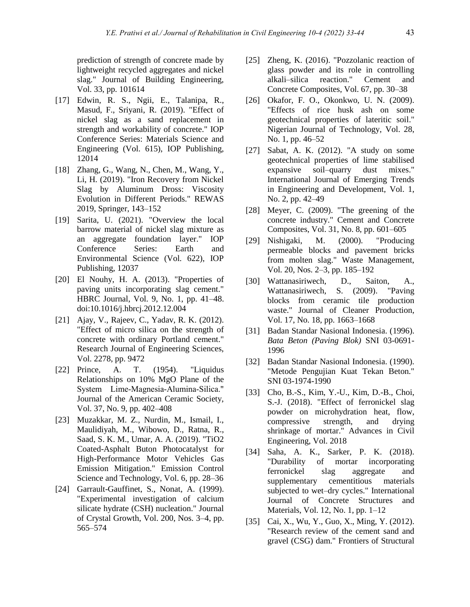prediction of strength of concrete made by lightweight recycled aggregates and nickel slag." Journal of Building Engineering, Vol. 33, pp. 101614

- [17] Edwin, R. S., Ngii, E., Talanipa, R., Masud, F., Sriyani, R. (2019). "Effect of nickel slag as a sand replacement in strength and workability of concrete." IOP Conference Series: Materials Science and Engineering (Vol. 615), IOP Publishing, 12014
- [18] Zhang, G., Wang, N., Chen, M., Wang, Y., Li, H. (2019). "Iron Recovery from Nickel Slag by Aluminum Dross: Viscosity Evolution in Different Periods." REWAS 2019, Springer, 143–152
- [19] Sarita, U. (2021). "Overview the local barrow material of nickel slag mixture as an aggregate foundation layer." IOP Conference Series: Earth and Environmental Science (Vol. 622), IOP Publishing, 12037
- [20] El Nouhy, H. A. (2013). "Properties of paving units incorporating slag cement." HBRC Journal, Vol. 9, No. 1, pp. 41–48. doi:10.1016/j.hbrcj.2012.12.004
- [21] Ajay, V., Rajeev, C., Yadav, R. K. (2012). "Effect of micro silica on the strength of concrete with ordinary Portland cement." Research Journal of Engineering Sciences, Vol. 2278, pp. 9472
- [22] Prince, A. T. (1954). "Liquidus Relationships on 10% MgO Plane of the System Lime‐Magnesia‐Alumina‐Silica." Journal of the American Ceramic Society, Vol. 37, No. 9, pp. 402–408
- [23] Muzakkar, M. Z., Nurdin, M., Ismail, I., Maulidiyah, M., Wibowo, D., Ratna, R., Saad, S. K. M., Umar, A. A. (2019). "TiO2 Coated-Asphalt Buton Photocatalyst for High-Performance Motor Vehicles Gas Emission Mitigation." Emission Control Science and Technology, Vol. 6, pp. 28–36
- [24] Garrault-Gauffinet, S., Nonat, A. (1999). "Experimental investigation of calcium silicate hydrate (CSH) nucleation." Journal of Crystal Growth, Vol. 200, Nos. 3–4, pp. 565–574
- [25] Zheng, K. (2016). "Pozzolanic reaction of glass powder and its role in controlling alkali–silica reaction." Cement and Concrete Composites, Vol. 67, pp. 30–38
- [26] Okafor, F. O., Okonkwo, U. N. (2009). "Effects of rice husk ash on some geotechnical properties of lateritic soil." Nigerian Journal of Technology, Vol. 28, No. 1, pp. 46–52
- [27] Sabat, A. K. (2012). "A study on some geotechnical properties of lime stabilised expansive soil–quarry dust mixes." International Journal of Emerging Trends in Engineering and Development, Vol. 1, No. 2, pp. 42–49
- [28] Meyer, C. (2009). "The greening of the concrete industry." Cement and Concrete Composites, Vol. 31, No. 8, pp. 601–605
- [29] Nishigaki, M. (2000). "Producing permeable blocks and pavement bricks from molten slag." Waste Management, Vol. 20, Nos. 2–3, pp. 185–192
- [30] Wattanasiriwech, D., Saiton, A., Wattanasiriwech, S. (2009). "Paving blocks from ceramic tile production waste." Journal of Cleaner Production, Vol. 17, No. 18, pp. 1663–1668
- [31] Badan Standar Nasional Indonesia. (1996). *Bata Beton (Paving Blok)* SNI 03-0691- 1996
- [32] Badan Standar Nasional Indonesia. (1990). "Metode Pengujian Kuat Tekan Beton." SNI 03-1974-1990
- [33] Cho, B.-S., Kim, Y.-U., Kim, D.-B., Choi, S.-J. (2018). "Effect of ferronickel slag powder on microhydration heat, flow, compressive strength, and drying shrinkage of mortar." Advances in Civil Engineering, Vol. 2018
- [34] Saha, A. K., Sarker, P. K. (2018). "Durability of mortar incorporating ferronickel slag aggregate and supplementary cementitious materials subjected to wet–dry cycles." International Journal of Concrete Structures and Materials, Vol. 12, No. 1, pp. 1–12
- [35] Cai, X., Wu, Y., Guo, X., Ming, Y. (2012). "Research review of the cement sand and gravel (CSG) dam." Frontiers of Structural